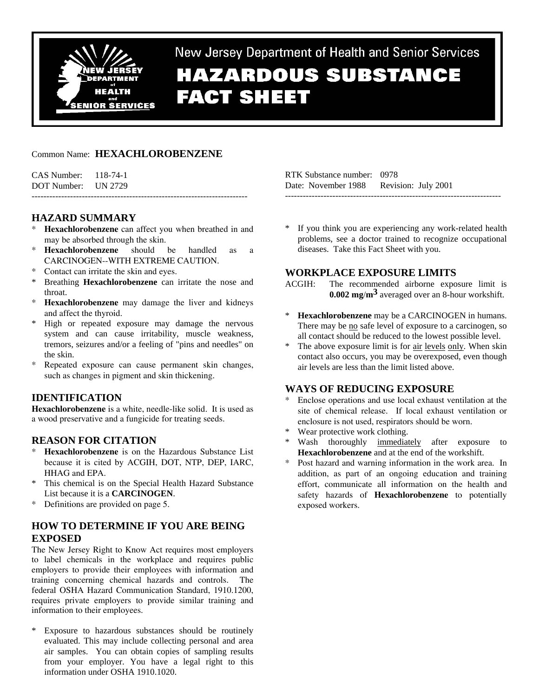

New Jersey Department of Health and Senior Services

# **HAZARDOUS SUBSTANCE FACT SHEET**

## Common Name: **HEXACHLOROBENZENE**

CAS Number: 118-74-1 DOT Number: UN 2729

# **HAZARD SUMMARY**

\* **Hexachlorobenzene** can affect you when breathed in and may be absorbed through the skin.

-------------------------------------------------------------------------

- \* **Hexachlorobenzene** should be handled as a CARCINOGEN--WITH EXTREME CAUTION.
- \* Contact can irritate the skin and eyes.
- Breathing **Hexachlorobenzene** can irritate the nose and throat.
- **Hexachlorobenzene** may damage the liver and kidneys and affect the thyroid.
- High or repeated exposure may damage the nervous system and can cause irritability, muscle weakness, tremors, seizures and/or a feeling of "pins and needles" on the skin.
- \* Repeated exposure can cause permanent skin changes, such as changes in pigment and skin thickening.

# **IDENTIFICATION**

**Hexachlorobenzene** is a white, needle-like solid. It is used as a wood preservative and a fungicide for treating seeds.

# **REASON FOR CITATION**

- **Hexachlorobenzene** is on the Hazardous Substance List because it is cited by ACGIH, DOT, NTP, DEP, IARC, HHAG and EPA.
- \* This chemical is on the Special Health Hazard Substance List because it is a **CARCINOGEN**.
- \* Definitions are provided on page 5.

# **HOW TO DETERMINE IF YOU ARE BEING EXPOSED**

The New Jersey Right to Know Act requires most employers to label chemicals in the workplace and requires public employers to provide their employees with information and training concerning chemical hazards and controls. The federal OSHA Hazard Communication Standard, 1910.1200, requires private employers to provide similar training and information to their employees.

Exposure to hazardous substances should be routinely evaluated. This may include collecting personal and area air samples. You can obtain copies of sampling results from your employer. You have a legal right to this information under OSHA 1910.1020.

RTK Substance number: 0978 Date: November 1988 Revision: July 2001 -------------------------------------------------------------------------

\* If you think you are experiencing any work-related health problems, see a doctor trained to recognize occupational diseases. Take this Fact Sheet with you.

# **WORKPLACE EXPOSURE LIMITS**

- ACGIH: The recommended airborne exposure limit is **0.002 mg**/**m3** averaged over an 8-hour workshift.
- \* **Hexachlorobenzene** may be a CARCINOGEN in humans. There may be no safe level of exposure to a carcinogen, so all contact should be reduced to the lowest possible level.
- \* The above exposure limit is for air levels only. When skin contact also occurs, you may be overexposed, even though air levels are less than the limit listed above.

# **WAYS OF REDUCING EXPOSURE**

- Enclose operations and use local exhaust ventilation at the site of chemical release. If local exhaust ventilation or enclosure is not used, respirators should be worn.
- \* Wear protective work clothing.
- Wash thoroughly immediately after exposure to **Hexachlorobenzene** and at the end of the workshift.
- Post hazard and warning information in the work area. In addition, as part of an ongoing education and training effort, communicate all information on the health and safety hazards of **Hexachlorobenzene** to potentially exposed workers.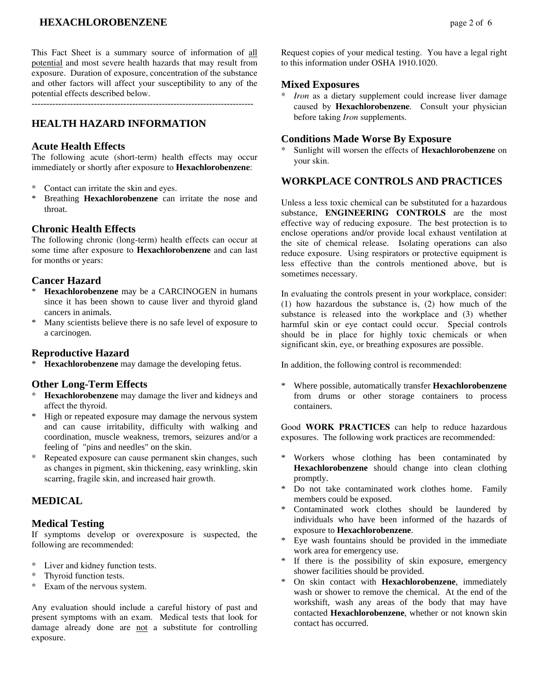# **HEXACHLOROBENZENE** page 2 of 6

This Fact Sheet is a summary source of information of all potential and most severe health hazards that may result from exposure. Duration of exposure, concentration of the substance and other factors will affect your susceptibility to any of the potential effects described below.

---------------------------------------------------------------------------

# **HEALTH HAZARD INFORMATION**

## **Acute Health Effects**

The following acute (short-term) health effects may occur immediately or shortly after exposure to **Hexachlorobenzene**:

- \* Contact can irritate the skin and eyes.<br>\* Presthing Haveshlanghangene can
- \* Breathing **Hexachlorobenzene** can irritate the nose and throat.

## **Chronic Health Effects**

The following chronic (long-term) health effects can occur at some time after exposure to **Hexachlorobenzene** and can last for months or years:

## **Cancer Hazard**

- \* **Hexachlorobenzene** may be a CARCINOGEN in humans since it has been shown to cause liver and thyroid gland cancers in animals.
- \* Many scientists believe there is no safe level of exposure to a carcinogen.

## **Reproductive Hazard**

\* **Hexachlorobenzene** may damage the developing fetus.

## **Other Long-Term Effects**

- \* **Hexachlorobenzene** may damage the liver and kidneys and affect the thyroid.
- \* High or repeated exposure may damage the nervous system and can cause irritability, difficulty with walking and coordination, muscle weakness, tremors, seizures and/or a feeling of "pins and needles" on the skin.
- \* Repeated exposure can cause permanent skin changes, such as changes in pigment, skin thickening, easy wrinkling, skin scarring, fragile skin, and increased hair growth.

## **MEDICAL**

## **Medical Testing**

If symptoms develop or overexposure is suspected, the following are recommended:

- \* Liver and kidney function tests.
- Thyroid function tests.
- \* Exam of the nervous system.

Any evaluation should include a careful history of past and present symptoms with an exam. Medical tests that look for damage already done are not a substitute for controlling exposure.

Request copies of your medical testing. You have a legal right to this information under OSHA 1910.1020.

#### **Mixed Exposures**

\* *Iron* as a dietary supplement could increase liver damage caused by **Hexachlorobenzene**. Consult your physician before taking *Iron* supplements.

#### **Conditions Made Worse By Exposure**

Sunlight will worsen the effects of **Hexachlorobenzene** on your skin.

## **WORKPLACE CONTROLS AND PRACTICES**

Unless a less toxic chemical can be substituted for a hazardous substance, **ENGINEERING CONTROLS** are the most effective way of reducing exposure. The best protection is to enclose operations and/or provide local exhaust ventilation at the site of chemical release. Isolating operations can also reduce exposure. Using respirators or protective equipment is less effective than the controls mentioned above, but is sometimes necessary.

In evaluating the controls present in your workplace, consider: (1) how hazardous the substance is, (2) how much of the substance is released into the workplace and (3) whether harmful skin or eye contact could occur. Special controls should be in place for highly toxic chemicals or when significant skin, eye, or breathing exposures are possible.

In addition, the following control is recommended:

\* Where possible, automatically transfer **Hexachlorobenzene** from drums or other storage containers to process containers.

Good **WORK PRACTICES** can help to reduce hazardous exposures. The following work practices are recommended:

- \* Workers whose clothing has been contaminated by **Hexachlorobenzene** should change into clean clothing promptly.
- \* Do not take contaminated work clothes home. Family members could be exposed.
- Contaminated work clothes should be laundered by individuals who have been informed of the hazards of exposure to **Hexachlorobenzene**.
- Eye wash fountains should be provided in the immediate work area for emergency use.
- \* If there is the possibility of skin exposure, emergency shower facilities should be provided.
- \* On skin contact with **Hexachlorobenzene**, immediately wash or shower to remove the chemical. At the end of the workshift, wash any areas of the body that may have contacted **Hexachlorobenzene**, whether or not known skin contact has occurred.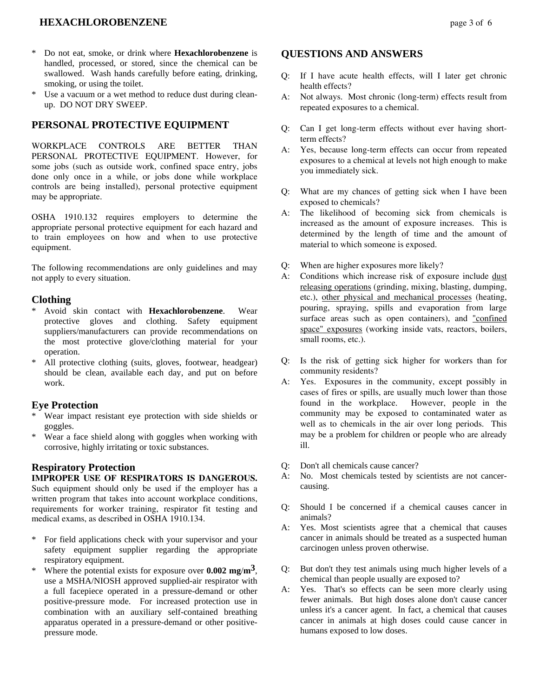## **HEXACHLOROBENZENE** page 3 of 6

- \* Do not eat, smoke, or drink where **Hexachlorobenzene** is handled, processed, or stored, since the chemical can be swallowed. Wash hands carefully before eating, drinking, smoking, or using the toilet.
- \* Use a vacuum or a wet method to reduce dust during cleanup. DO NOT DRY SWEEP.

## **PERSONAL PROTECTIVE EQUIPMENT**

WORKPLACE CONTROLS ARE BETTER THAN PERSONAL PROTECTIVE EQUIPMENT. However, for some jobs (such as outside work, confined space entry, jobs done only once in a while, or jobs done while workplace controls are being installed), personal protective equipment may be appropriate.

OSHA 1910.132 requires employers to determine the appropriate personal protective equipment for each hazard and to train employees on how and when to use protective equipment.

The following recommendations are only guidelines and may not apply to every situation.

## **Clothing**

- \* Avoid skin contact with **Hexachlorobenzene**. Wear protective gloves and clothing. Safety equipment suppliers/manufacturers can provide recommendations on the most protective glove/clothing material for your operation.
- All protective clothing (suits, gloves, footwear, headgear) should be clean, available each day, and put on before work.

#### **Eye Protection**

- Wear impact resistant eye protection with side shields or goggles.
- Wear a face shield along with goggles when working with corrosive, highly irritating or toxic substances.

#### **Respiratory Protection**

#### **IMPROPER USE OF RESPIRATORS IS DANGEROUS.** Such equipment should only be used if the employer has a written program that takes into account workplace conditions, requirements for worker training, respirator fit testing and medical exams, as described in OSHA 1910.134.

- \* For field applications check with your supervisor and your safety equipment supplier regarding the appropriate respiratory equipment.
- Where the potential exists for exposure over  $0.002$  mg/ $\text{m}^3$ , use a MSHA/NIOSH approved supplied-air respirator with a full facepiece operated in a pressure-demand or other positive-pressure mode. For increased protection use in combination with an auxiliary self-contained breathing apparatus operated in a pressure-demand or other positivepressure mode.

## **QUESTIONS AND ANSWERS**

- Q: If I have acute health effects, will I later get chronic health effects?
- A: Not always. Most chronic (long-term) effects result from repeated exposures to a chemical.
- Q: Can I get long-term effects without ever having shortterm effects?
- A: Yes, because long-term effects can occur from repeated exposures to a chemical at levels not high enough to make you immediately sick.
- Q: What are my chances of getting sick when I have been exposed to chemicals?
- A: The likelihood of becoming sick from chemicals is increased as the amount of exposure increases. This is determined by the length of time and the amount of material to which someone is exposed.
- Q: When are higher exposures more likely?
- A: Conditions which increase risk of exposure include dust releasing operations (grinding, mixing, blasting, dumping, etc.), other physical and mechanical processes (heating, pouring, spraying, spills and evaporation from large surface areas such as open containers), and "confined space" exposures (working inside vats, reactors, boilers, small rooms, etc.).
- Q: Is the risk of getting sick higher for workers than for community residents?
- A: Yes. Exposures in the community, except possibly in cases of fires or spills, are usually much lower than those found in the workplace. However, people in the community may be exposed to contaminated water as well as to chemicals in the air over long periods. This may be a problem for children or people who are already ill.
- Q: Don't all chemicals cause cancer?
- A: No. Most chemicals tested by scientists are not cancercausing.
- Q: Should I be concerned if a chemical causes cancer in animals?
- A: Yes. Most scientists agree that a chemical that causes cancer in animals should be treated as a suspected human carcinogen unless proven otherwise.
- Q: But don't they test animals using much higher levels of a chemical than people usually are exposed to?
- A: Yes. That's so effects can be seen more clearly using fewer animals. But high doses alone don't cause cancer unless it's a cancer agent. In fact, a chemical that causes cancer in animals at high doses could cause cancer in humans exposed to low doses.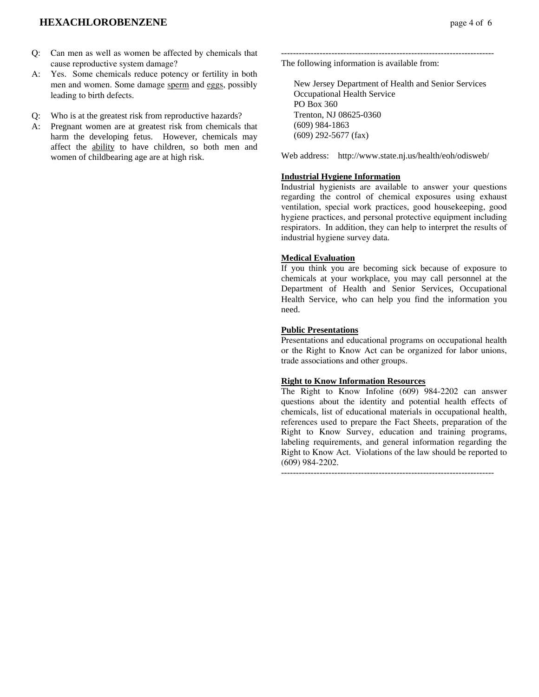## **HEXACHLOROBENZENE** page 4 of 6

- Q: Can men as well as women be affected by chemicals that cause reproductive system damage?
- A: Yes. Some chemicals reduce potency or fertility in both men and women. Some damage sperm and eggs, possibly leading to birth defects.
- Q: Who is at the greatest risk from reproductive hazards?
- A: Pregnant women are at greatest risk from chemicals that harm the developing fetus. However, chemicals may affect the ability to have children, so both men and women of childbearing age are at high risk.

------------------------------------------------------------------------ The following information is available from:

 New Jersey Department of Health and Senior Services Occupational Health Service PO Box 360 Trenton, NJ 08625-0360 (609) 984-1863 (609) 292-5677 (fax)

Web address: http://www.state.nj.us/health/eoh/odisweb/

#### **Industrial Hygiene Information**

Industrial hygienists are available to answer your questions regarding the control of chemical exposures using exhaust ventilation, special work practices, good housekeeping, good hygiene practices, and personal protective equipment including respirators. In addition, they can help to interpret the results of industrial hygiene survey data.

#### **Medical Evaluation**

If you think you are becoming sick because of exposure to chemicals at your workplace, you may call personnel at the Department of Health and Senior Services, Occupational Health Service, who can help you find the information you need.

#### **Public Presentations**

Presentations and educational programs on occupational health or the Right to Know Act can be organized for labor unions, trade associations and other groups.

## **Right to Know Information Resources**

The Right to Know Infoline (609) 984-2202 can answer questions about the identity and potential health effects of chemicals, list of educational materials in occupational health, references used to prepare the Fact Sheets, preparation of the Right to Know Survey, education and training programs, labeling requirements, and general information regarding the Right to Know Act. Violations of the law should be reported to (609) 984-2202.

------------------------------------------------------------------------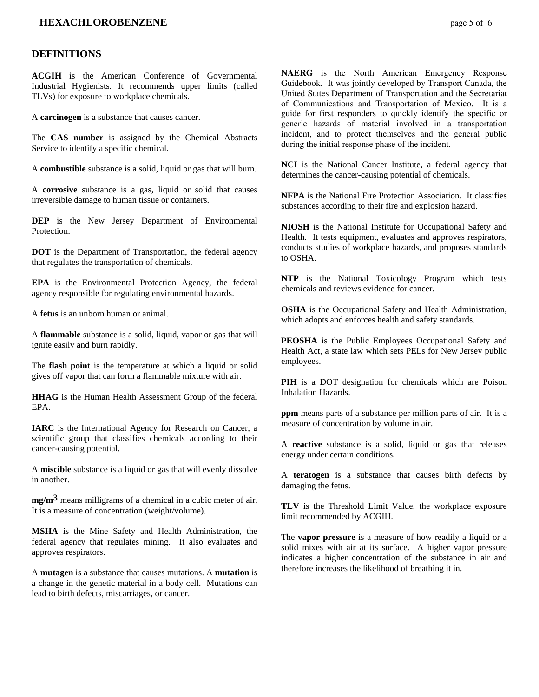## **HEXACHLOROBENZENE** page 5 of 6

#### **DEFINITIONS**

**ACGIH** is the American Conference of Governmental Industrial Hygienists. It recommends upper limits (called TLVs) for exposure to workplace chemicals.

A **carcinogen** is a substance that causes cancer.

The **CAS number** is assigned by the Chemical Abstracts Service to identify a specific chemical.

A **combustible** substance is a solid, liquid or gas that will burn.

A **corrosive** substance is a gas, liquid or solid that causes irreversible damage to human tissue or containers.

**DEP** is the New Jersey Department of Environmental **Protection** 

**DOT** is the Department of Transportation, the federal agency that regulates the transportation of chemicals.

**EPA** is the Environmental Protection Agency, the federal agency responsible for regulating environmental hazards.

A **fetus** is an unborn human or animal.

A **flammable** substance is a solid, liquid, vapor or gas that will ignite easily and burn rapidly.

The **flash point** is the temperature at which a liquid or solid gives off vapor that can form a flammable mixture with air.

**HHAG** is the Human Health Assessment Group of the federal EPA.

**IARC** is the International Agency for Research on Cancer, a scientific group that classifies chemicals according to their cancer-causing potential.

A **miscible** substance is a liquid or gas that will evenly dissolve in another.

**mg/m3** means milligrams of a chemical in a cubic meter of air. It is a measure of concentration (weight/volume).

**MSHA** is the Mine Safety and Health Administration, the federal agency that regulates mining. It also evaluates and approves respirators.

A **mutagen** is a substance that causes mutations. A **mutation** is a change in the genetic material in a body cell. Mutations can lead to birth defects, miscarriages, or cancer.

**NAERG** is the North American Emergency Response Guidebook. It was jointly developed by Transport Canada, the United States Department of Transportation and the Secretariat of Communications and Transportation of Mexico. It is a guide for first responders to quickly identify the specific or generic hazards of material involved in a transportation incident, and to protect themselves and the general public during the initial response phase of the incident.

**NCI** is the National Cancer Institute, a federal agency that determines the cancer-causing potential of chemicals.

**NFPA** is the National Fire Protection Association. It classifies substances according to their fire and explosion hazard.

**NIOSH** is the National Institute for Occupational Safety and Health. It tests equipment, evaluates and approves respirators, conducts studies of workplace hazards, and proposes standards to OSHA.

**NTP** is the National Toxicology Program which tests chemicals and reviews evidence for cancer.

**OSHA** is the Occupational Safety and Health Administration, which adopts and enforces health and safety standards.

**PEOSHA** is the Public Employees Occupational Safety and Health Act, a state law which sets PELs for New Jersey public employees.

**PIH** is a DOT designation for chemicals which are Poison Inhalation Hazards.

**ppm** means parts of a substance per million parts of air. It is a measure of concentration by volume in air.

A **reactive** substance is a solid, liquid or gas that releases energy under certain conditions.

A **teratogen** is a substance that causes birth defects by damaging the fetus.

**TLV** is the Threshold Limit Value, the workplace exposure limit recommended by ACGIH.

The **vapor pressure** is a measure of how readily a liquid or a solid mixes with air at its surface. A higher vapor pressure indicates a higher concentration of the substance in air and therefore increases the likelihood of breathing it in.